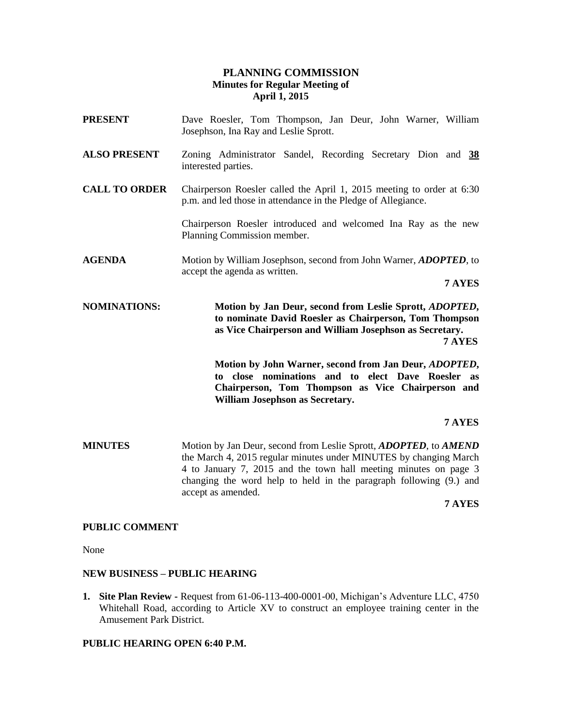# **PLANNING COMMISSION Minutes for Regular Meeting of April 1, 2015**

| <b>PRESENT</b>       | Dave Roesler, Tom Thompson, Jan Deur, John Warner, William<br>Josephson, Ina Ray and Leslie Sprott.                                                                                                                                                                                                   |
|----------------------|-------------------------------------------------------------------------------------------------------------------------------------------------------------------------------------------------------------------------------------------------------------------------------------------------------|
| <b>ALSO PRESENT</b>  | Zoning Administrator Sandel, Recording Secretary Dion and 38<br>interested parties.                                                                                                                                                                                                                   |
| <b>CALL TO ORDER</b> | Chairperson Roesler called the April 1, 2015 meeting to order at 6:30<br>p.m. and led those in attendance in the Pledge of Allegiance.                                                                                                                                                                |
|                      | Chairperson Roesler introduced and welcomed Ina Ray as the new<br>Planning Commission member.                                                                                                                                                                                                         |
| <b>AGENDA</b>        | Motion by William Josephson, second from John Warner, ADOPTED, to<br>accept the agenda as written.                                                                                                                                                                                                    |
|                      | 7 AYES                                                                                                                                                                                                                                                                                                |
| <b>NOMINATIONS:</b>  | Motion by Jan Deur, second from Leslie Sprott, <i>ADOPTED</i> ,<br>to nominate David Roesler as Chairperson, Tom Thompson<br>as Vice Chairperson and William Josephson as Secretary.<br>7 AYES                                                                                                        |
|                      | Motion by John Warner, second from Jan Deur, ADOPTED,<br>to close nominations and to elect Dave Roesler<br>as<br>Chairperson, Tom Thompson as Vice Chairperson and<br>William Josephson as Secretary.                                                                                                 |
|                      | 7 AYES                                                                                                                                                                                                                                                                                                |
| <b>MINUTES</b>       | Motion by Jan Deur, second from Leslie Sprott, ADOPTED, to AMEND<br>the March 4, 2015 regular minutes under MINUTES by changing March<br>4 to January 7, 2015 and the town hall meeting minutes on page 3<br>changing the word help to held in the paragraph following (9.) and<br>accept as amended. |

## **7 AYES**

## **PUBLIC COMMENT**

None

### **NEW BUSINESS – PUBLIC HEARING**

**1. Site Plan Review -** Request from 61-06-113-400-0001-00, Michigan's Adventure LLC, 4750 Whitehall Road, according to Article XV to construct an employee training center in the Amusement Park District.

## **PUBLIC HEARING OPEN 6:40 P.M.**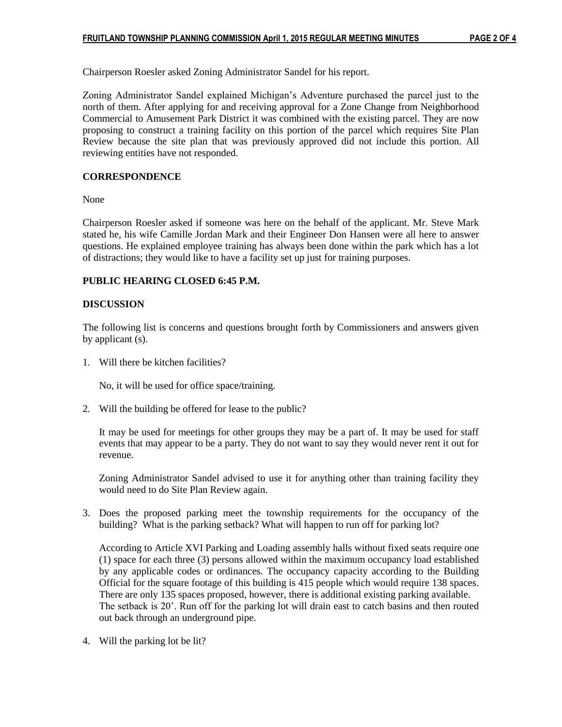Chairperson Roesler asked Zoning Administrator Sandel for his report.

Zoning Administrator Sandel explained Michigan's Adventure purchased the parcel just to the north of them. After applying for and receiving approval for a Zone Change from Neighborhood Commercial to Amusement Park District it was combined with the existing parcel. They are now proposing to construct a training facility on this portion of the parcel which requires Site Plan Review because the site plan that was previously approved did not include this portion. All reviewing entities have not responded.

### **CORRESPONDENCE**

None

Chairperson Roesler asked if someone was here on the behalf of the applicant. Mr. Steve Mark stated he, his wife Camille Jordan Mark and their Engineer Don Hansen were all here to answer questions. He explained employee training has always been done within the park which has a lot of distractions; they would like to have a facility set up just for training purposes.

### **PUBLIC HEARING CLOSED 6:45 P.M.**

#### **DISCUSSION**

The following list is concerns and questions brought forth by Commissioners and answers given by applicant (s).

1. Will there be kitchen facilities?

No, it will be used for office space/training.

2. Will the building be offered for lease to the public?

It may be used for meetings for other groups they may be a part of. It may be used for staff events that may appear to be a party. They do not want to say they would never rent it out for revenue.

Zoning Administrator Sandel advised to use it for anything other than training facility they would need to do Site Plan Review again.

3. Does the proposed parking meet the township requirements for the occupancy of the building? What is the parking setback? What will happen to run off for parking lot?

According to Article XVI Parking and Loading assembly halls without fixed seats require one (1) space for each three (3) persons allowed within the maximum occupancy load established by any applicable codes or ordinances. The occupancy capacity according to the Building Official for the square footage of this building is 415 people which would require 138 spaces. There are only 135 spaces proposed, however, there is additional existing parking available. The setback is 20'. Run off for the parking lot will drain east to catch basins and then routed out back through an underground pipe.

4. Will the parking lot be lit?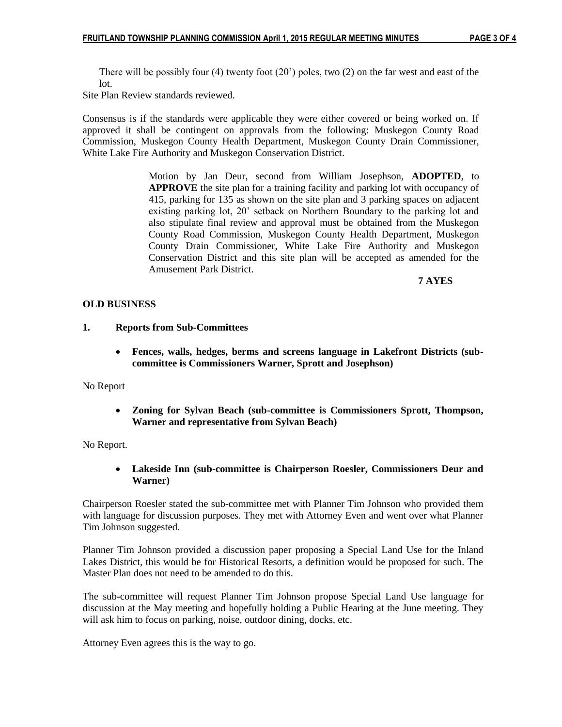There will be possibly four  $(4)$  twenty foot  $(20)$  poles, two  $(2)$  on the far west and east of the lot.

Site Plan Review standards reviewed.

Consensus is if the standards were applicable they were either covered or being worked on. If approved it shall be contingent on approvals from the following: Muskegon County Road Commission, Muskegon County Health Department, Muskegon County Drain Commissioner, White Lake Fire Authority and Muskegon Conservation District.

> Motion by Jan Deur, second from William Josephson, **ADOPTED**, to **APPROVE** the site plan for a training facility and parking lot with occupancy of 415, parking for 135 as shown on the site plan and 3 parking spaces on adjacent existing parking lot, 20' setback on Northern Boundary to the parking lot and also stipulate final review and approval must be obtained from the Muskegon County Road Commission, Muskegon County Health Department, Muskegon County Drain Commissioner, White Lake Fire Authority and Muskegon Conservation District and this site plan will be accepted as amended for the Amusement Park District.

 **7 AYES**

## **OLD BUSINESS**

## **1. Reports from Sub-Committees**

 **Fences, walls, hedges, berms and screens language in Lakefront Districts (subcommittee is Commissioners Warner, Sprott and Josephson)**

No Report

 **Zoning for Sylvan Beach (sub-committee is Commissioners Sprott, Thompson, Warner and representative from Sylvan Beach)**

No Report.

 **Lakeside Inn (sub-committee is Chairperson Roesler, Commissioners Deur and Warner)** 

Chairperson Roesler stated the sub-committee met with Planner Tim Johnson who provided them with language for discussion purposes. They met with Attorney Even and went over what Planner Tim Johnson suggested.

Planner Tim Johnson provided a discussion paper proposing a Special Land Use for the Inland Lakes District, this would be for Historical Resorts, a definition would be proposed for such. The Master Plan does not need to be amended to do this.

The sub-committee will request Planner Tim Johnson propose Special Land Use language for discussion at the May meeting and hopefully holding a Public Hearing at the June meeting. They will ask him to focus on parking, noise, outdoor dining, docks, etc.

Attorney Even agrees this is the way to go.